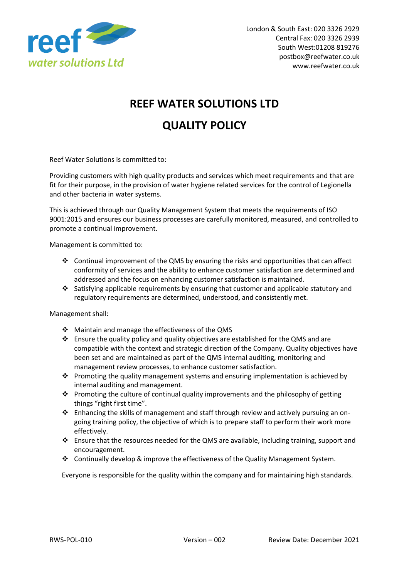

## **REEF WATER SOLUTIONS LTD**

## **QUALITY POLICY**

Reef Water Solutions is committed to:

Providing customers with high quality products and services which meet requirements and that are fit for their purpose, in the provision of water hygiene related services for the control of Legionella and other bacteria in water systems.

This is achieved through our Quality Management System that meets the requirements of ISO 9001:2015 and ensures our business processes are carefully monitored, measured, and controlled to promote a continual improvement.

Management is committed to:

- ◆ Continual improvement of the QMS by ensuring the risks and opportunities that can affect conformity of services and the ability to enhance customer satisfaction are determined and addressed and the focus on enhancing customer satisfaction is maintained.
- ❖ Satisfying applicable requirements by ensuring that customer and applicable statutory and regulatory requirements are determined, understood, and consistently met.

Management shall:

- ❖ Maintain and manage the effectiveness of the QMS
- ❖ Ensure the quality policy and quality objectives are established for the QMS and are compatible with the context and strategic direction of the Company. Quality objectives have been set and are maintained as part of the QMS internal auditing, monitoring and management review processes, to enhance customer satisfaction.
- ❖ Promoting the quality management systems and ensuring implementation is achieved by internal auditing and management.
- ❖ Promoting the culture of continual quality improvements and the philosophy of getting things "right first time".
- ❖ Enhancing the skills of management and staff through review and actively pursuing an ongoing training policy, the objective of which is to prepare staff to perform their work more effectively.
- ❖ Ensure that the resources needed for the QMS are available, including training, support and encouragement.
- ❖ Continually develop & improve the effectiveness of the Quality Management System.

Everyone is responsible for the quality within the company and for maintaining high standards.